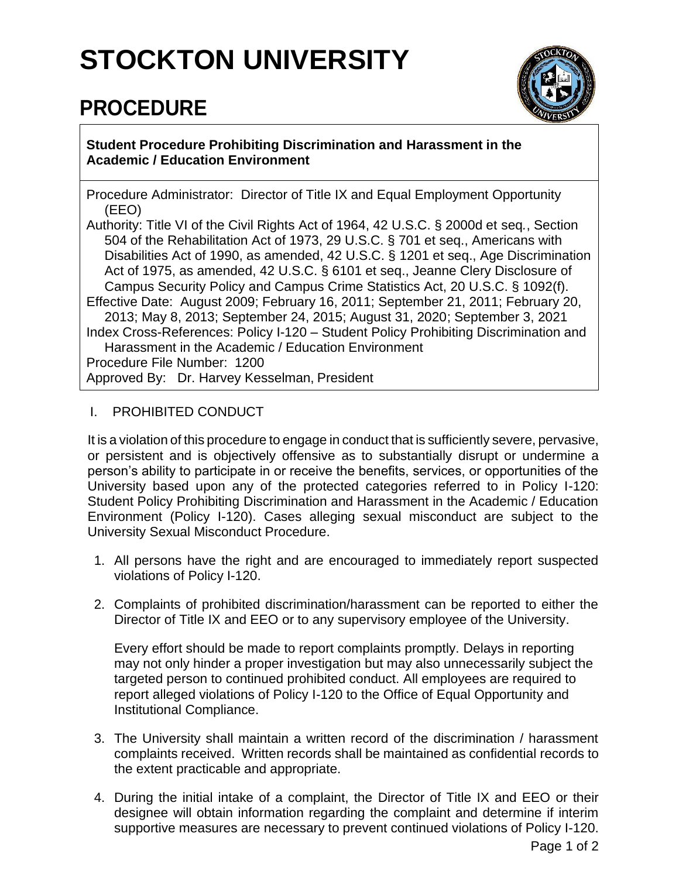## **STOCKTON UNIVERSITY**

## **PROCEDURE**



**Student Procedure Prohibiting Discrimination and Harassment in the Academic / Education Environment**

Procedure Administrator: Director of Title IX and Equal Employment Opportunity (EEO)

Authority: Title VI of the Civil Rights Act of 1964, 42 U.S.C. § 2000d et seq*.*, Section 504 of the Rehabilitation Act of 1973, 29 U.S.C. § 701 et seq., Americans with Disabilities Act of 1990, as amended, 42 U.S.C. § 1201 et seq., Age Discrimination Act of 1975, as amended, 42 U.S.C. § 6101 et seq., Jeanne Clery Disclosure of Campus Security Policy and Campus Crime Statistics Act, 20 U.S.C. § 1092(f). Effective Date: August 2009; February 16, 2011; September 21, 2011; February 20, 2013; May 8, 2013; September 24, 2015; August 31, 2020; September 3, 2021 Index Cross-References: Policy I-120 – Student Policy Prohibiting Discrimination and Harassment in the Academic / Education Environment Procedure File Number: 1200 Approved By: Dr. Harvey Kesselman, President

## I. PROHIBITED CONDUCT

It is a violation of this procedure to engage in conduct that is sufficiently severe, pervasive, or persistent and is objectively offensive as to substantially disrupt or undermine a person's ability to participate in or receive the benefits, services, or opportunities of the University based upon any of the protected categories referred to in Policy I-120: Student Policy Prohibiting Discrimination and Harassment in the Academic / Education Environment (Policy I-120). Cases alleging sexual misconduct are subject to the University Sexual Misconduct Procedure.

- 1. All persons have the right and are encouraged to immediately report suspected violations of Policy I-120.
- 2. Complaints of prohibited discrimination/harassment can be reported to either the Director of Title IX and EEO or to any supervisory employee of the University.

Every effort should be made to report complaints promptly. Delays in reporting may not only hinder a proper investigation but may also unnecessarily subject the targeted person to continued prohibited conduct. All employees are required to report alleged violations of Policy I-120 to the Office of Equal Opportunity and Institutional Compliance.

- 3. The University shall maintain a written record of the discrimination / harassment complaints received. Written records shall be maintained as confidential records to the extent practicable and appropriate.
- 4. During the initial intake of a complaint, the Director of Title IX and EEO or their designee will obtain information regarding the complaint and determine if interim supportive measures are necessary to prevent continued violations of Policy I-120.